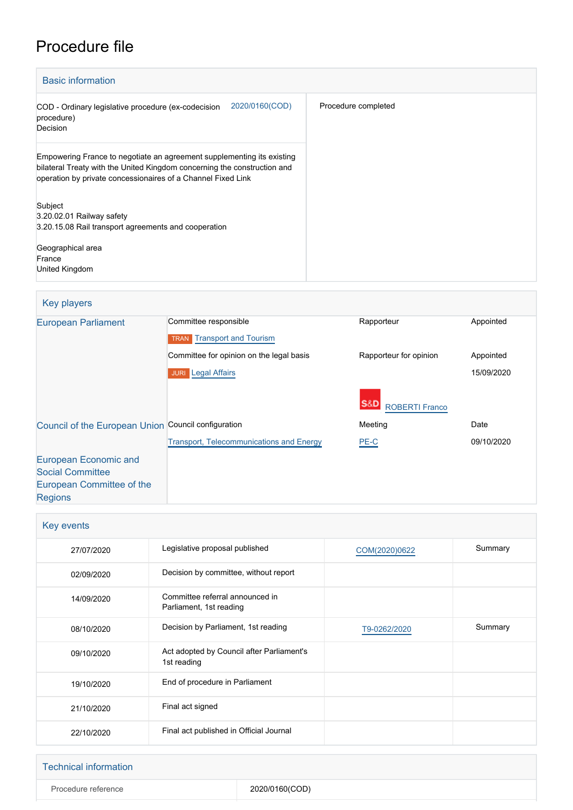# Procedure file

[Regions](http://www.cor.europa.eu/)

|                     |                                                                                                                                                                                                                    | <b>Basic information</b>                                            |
|---------------------|--------------------------------------------------------------------------------------------------------------------------------------------------------------------------------------------------------------------|---------------------------------------------------------------------|
| Procedure completed | 2020/0160(COD)<br>COD - Ordinary legislative procedure (ex-codecision                                                                                                                                              | procedure)<br>Decision                                              |
|                     | Empowering France to negotiate an agreement supplementing its existing<br>bilateral Treaty with the United Kingdom concerning the construction and<br>operation by private concessionaires of a Channel Fixed Link |                                                                     |
|                     | 3.20.15.08 Rail transport agreements and cooperation                                                                                                                                                               | Subject<br>3.20.02.01 Railway safety<br>Geographical area<br>France |
|                     |                                                                                                                                                                                                                    | United Kingdom                                                      |

| Key players                                         |                                                 |                        |            |  |
|-----------------------------------------------------|-------------------------------------------------|------------------------|------------|--|
| <b>European Parliament</b>                          | Committee responsible                           | Rapporteur             | Appointed  |  |
|                                                     | <b>TRAN</b> Transport and Tourism               |                        |            |  |
|                                                     | Committee for opinion on the legal basis        | Rapporteur for opinion | Appointed  |  |
|                                                     | <b>JURI</b> Legal Affairs                       |                        | 15/09/2020 |  |
|                                                     |                                                 | <b>ROBERTI Franco</b>  |            |  |
| Council of the European Union Council configuration |                                                 | Meeting                | Date       |  |
|                                                     | <b>Transport, Telecommunications and Energy</b> | PE-C                   | 09/10/2020 |  |
| European Economic and                               |                                                 |                        |            |  |
| <b>Social Committee</b>                             |                                                 |                        |            |  |
| European Committee of the                           |                                                 |                        |            |  |

| <b>Key events</b> |                                                            |               |         |
|-------------------|------------------------------------------------------------|---------------|---------|
| 27/07/2020        | Legislative proposal published                             | COM(2020)0622 | Summary |
| 02/09/2020        | Decision by committee, without report                      |               |         |
| 14/09/2020        | Committee referral announced in<br>Parliament, 1st reading |               |         |
| 08/10/2020        | Decision by Parliament, 1st reading                        | T9-0262/2020  | Summary |
| 09/10/2020        | Act adopted by Council after Parliament's<br>1st reading   |               |         |
| 19/10/2020        | End of procedure in Parliament                             |               |         |
| 21/10/2020        | Final act signed                                           |               |         |
| 22/10/2020        | Final act published in Official Journal                    |               |         |

| <b>Technical information</b> |                |
|------------------------------|----------------|
| Procedure reference          | 2020/0160(COD) |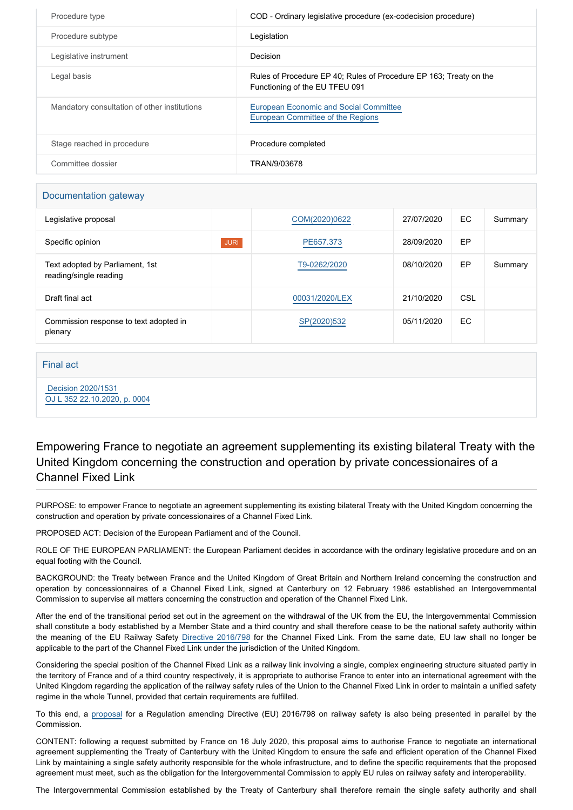| Procedure type                               | COD - Ordinary legislative procedure (ex-codecision procedure)                                       |
|----------------------------------------------|------------------------------------------------------------------------------------------------------|
| Procedure subtype                            | Legislation                                                                                          |
| Legislative instrument                       | Decision                                                                                             |
| Legal basis                                  | Rules of Procedure EP 40; Rules of Procedure EP 163; Treaty on the<br>Functioning of the EU TFEU 091 |
| Mandatory consultation of other institutions | <b>European Economic and Social Committee</b><br>European Committee of the Regions                   |
| Stage reached in procedure                   | Procedure completed                                                                                  |
| Committee dossier                            | TRAN/9/03678                                                                                         |

### Documentation gateway

| Legislative proposal                                      |             | COM(2020)0622  | 27/07/2020 | EC. | Summary |
|-----------------------------------------------------------|-------------|----------------|------------|-----|---------|
| Specific opinion                                          | <b>JURI</b> | PE657.373      | 28/09/2020 | EP  |         |
| Text adopted by Parliament, 1st<br>reading/single reading |             | T9-0262/2020   | 08/10/2020 | EP  | Summary |
| Draft final act                                           |             | 00031/2020/LEX | 21/10/2020 | CSL |         |
| Commission response to text adopted in<br>plenary         |             | SP(2020)532    | 05/11/2020 | EC  |         |

Final act

 [Decision 2020/1531](https://eur-lex.europa.eu/smartapi/cgi/sga_doc?smartapi!celexplus!prod!CELEXnumdoc&lg=EN&numdoc=32020D1531) [OJ L 352 22.10.2020, p. 0004](https://eur-lex.europa.eu/legal-content/FR/TXT/?uri=OJ:L:2020:352:TOC)

Empowering France to negotiate an agreement supplementing its existing bilateral Treaty with the United Kingdom concerning the construction and operation by private concessionaires of a Channel Fixed Link

PURPOSE: to empower France to negotiate an agreement supplementing its existing bilateral Treaty with the United Kingdom concerning the construction and operation by private concessionaires of a Channel Fixed Link.

PROPOSED ACT: Decision of the European Parliament and of the Council.

ROLE OF THE EUROPEAN PARLIAMENT: the European Parliament decides in accordance with the ordinary legislative procedure and on an equal footing with the Council.

BACKGROUND: the Treaty between France and the United Kingdom of Great Britain and Northern Ireland concerning the construction and operation by concessionnaires of a Channel Fixed Link, signed at Canterbury on 12 February 1986 established an Intergovernmental Commission to supervise all matters concerning the construction and operation of the Channel Fixed Link.

After the end of the transitional period set out in the agreement on the withdrawal of the UK from the EU, the Intergovernmental Commission shall constitute a body established by a Member State and a third country and shall therefore cease to be the national safety authority within the meaning of the EU Railway Safety [Directive 2016/798](https://oeil.secure.europarl.europa.eu/oeil/popups/ficheprocedure.do?lang=en&reference=2013/0016(COD)) for the Channel Fixed Link. From the same date, EU law shall no longer be applicable to the part of the Channel Fixed Link under the jurisdiction of the United Kingdom.

Considering the special position of the Channel Fixed Link as a railway link involving a single, complex engineering structure situated partly in the territory of France and of a third country respectively, it is appropriate to authorise France to enter into an international agreement with the United Kingdom regarding the application of the railway safety rules of the Union to the Channel Fixed Link in order to maintain a unified safety regime in the whole Tunnel, provided that certain requirements are fulfilled.

To this end, a [proposal](https://oeil.secure.europarl.europa.eu/oeil/popups/ficheprocedure.do?reference=2020/0161(COD)&l=en) for a Regulation amending Directive (EU) 2016/798 on railway safety is also being presented in parallel by the Commission.

CONTENT: following a request submitted by France on 16 July 2020, this proposal aims to authorise France to negotiate an international agreement supplementing the Treaty of Canterbury with the United Kingdom to ensure the safe and efficient operation of the Channel Fixed Link by maintaining a single safety authority responsible for the whole infrastructure, and to define the specific requirements that the proposed agreement must meet, such as the obligation for the Intergovernmental Commission to apply EU rules on railway safety and interoperability.

The Intergovernmental Commission established by the Treaty of Canterbury shall therefore remain the single safety authority and shall